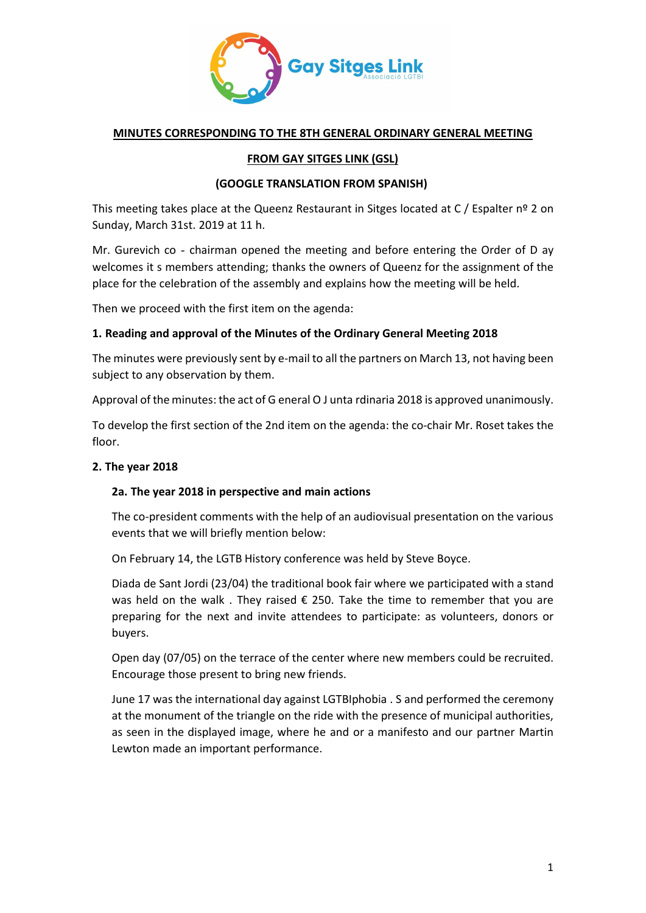

## **MINUTES CORRESPONDING TO THE 8TH GENERAL ORDINARY GENERAL MEETING**

# **FROM GAY SITGES LINK (GSL)**

## **(GOOGLE TRANSLATION FROM SPANISH)**

This meeting takes place at the Queenz Restaurant in Sitges located at  $C /$  Espalter nº 2 on Sunday, March 31st. 2019 at 11 h.

Mr. Gurevich co - chairman opened the meeting and before entering the Order of D ay welcomes it s members attending; thanks the owners of Queenz for the assignment of the place for the celebration of the assembly and explains how the meeting will be held.

Then we proceed with the first item on the agenda:

## **1. Reading and approval of the Minutes of the Ordinary General Meeting 2018**

The minutes were previously sent by e-mail to all the partners on March 13, not having been subject to any observation by them.

Approval of the minutes: the act of G eneral O J unta rdinaria 2018 is approved unanimously.

To develop the first section of the 2nd item on the agenda: the co-chair Mr. Roset takes the floor.

## **2. The year 2018**

## **2a. The year 2018 in perspective and main actions**

The co-president comments with the help of an audiovisual presentation on the various events that we will briefly mention below:

On February 14, the LGTB History conference was held by Steve Boyce.

Diada de Sant Jordi (23/04) the traditional book fair where we participated with a stand was held on the walk. They raised  $\epsilon$  250. Take the time to remember that you are preparing for the next and invite attendees to participate: as volunteers, donors or buyers.

Open day (07/05) on the terrace of the center where new members could be recruited. Encourage those present to bring new friends.

June 17 was the international day against LGTBIphobia . S and performed the ceremony at the monument of the triangle on the ride with the presence of municipal authorities, as seen in the displayed image, where he and or a manifesto and our partner Martin Lewton made an important performance.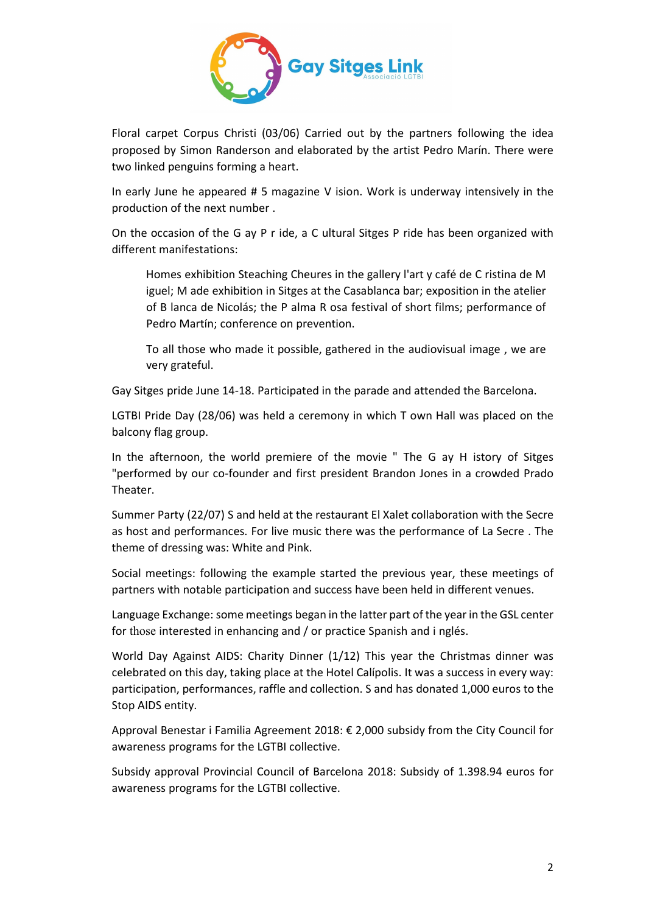

Floral carpet Corpus Christi (03/06) Carried out by the partners following the idea proposed by Simon Randerson and elaborated by the artist Pedro Marín. There were two linked penguins forming a heart.

In early June he appeared # 5 magazine V ision. Work is underway intensively in the production of the next number .

On the occasion of the G ay P r ide, a C ultural Sitges P ride has been organized with different manifestations:

Homes exhibition Steaching Cheures in the gallery l'art y café de C ristina de M iguel; M ade exhibition in Sitges at the Casablanca bar; exposition in the atelier of B lanca de Nicolás; the P alma R osa festival of short films; performance of Pedro Martín; conference on prevention.

To all those who made it possible, gathered in the audiovisual image , we are very grateful.

Gay Sitges pride June 14-18. Participated in the parade and attended the Barcelona.

LGTBI Pride Day (28/06) was held a ceremony in which T own Hall was placed on the balcony flag group.

In the afternoon, the world premiere of the movie " The G ay H istory of Sitges "performed by our co-founder and first president Brandon Jones in a crowded Prado Theater.

Summer Party (22/07) S and held at the restaurant El Xalet collaboration with the Secre as host and performances. For live music there was the performance of La Secre . The theme of dressing was: White and Pink.

Social meetings: following the example started the previous year, these meetings of partners with notable participation and success have been held in different venues.

Language Exchange: some meetings began in the latter part of the year in the GSL center for those interested in enhancing and / or practice Spanish and i nglés.

World Day Against AIDS: Charity Dinner (1/12) This year the Christmas dinner was celebrated on this day, taking place at the Hotel Calípolis. It was a success in every way: participation, performances, raffle and collection. S and has donated 1,000 euros to the Stop AIDS entity.

Approval Benestar i Familia Agreement 2018: € 2,000 subsidy from the City Council for awareness programs for the LGTBI collective.

Subsidy approval Provincial Council of Barcelona 2018: Subsidy of 1.398.94 euros for awareness programs for the LGTBI collective.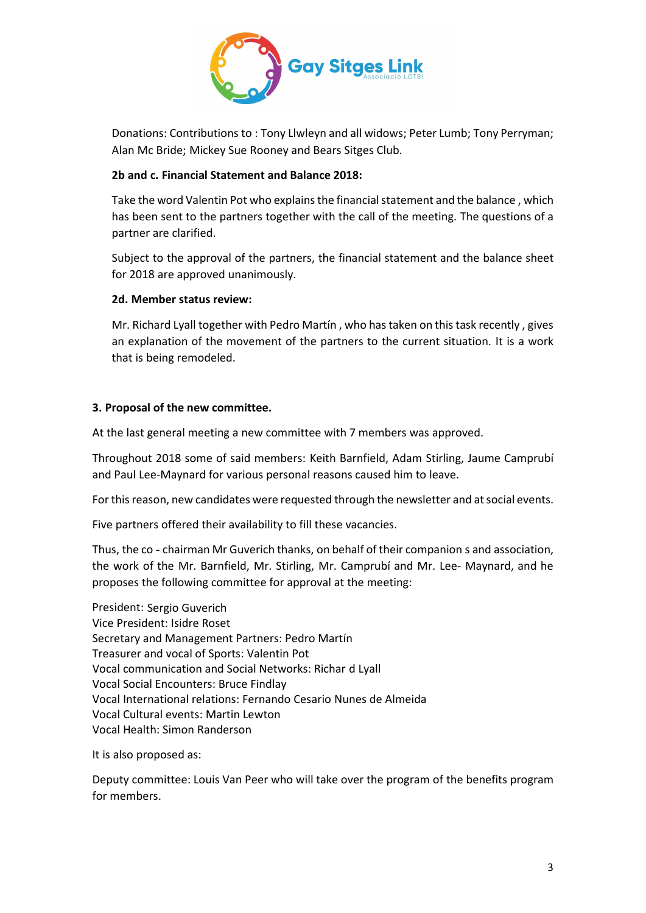

Donations: Contributions to : Tony Llwleyn and all widows; Peter Lumb; Tony Perryman; Alan Mc Bride; Mickey Sue Rooney and Bears Sitges Club.

## **2b and c. Financial Statement and Balance 2018:**

Take the word Valentin Pot who explains the financial statement and the balance , which has been sent to the partners together with the call of the meeting. The questions of a partner are clarified.

Subject to the approval of the partners, the financial statement and the balance sheet for 2018 are approved unanimously.

## **2d. Member status review:**

Mr. Richard Lyall together with Pedro Martín , who has taken on this task recently , gives an explanation of the movement of the partners to the current situation. It is a work that is being remodeled.

# **3. Proposal of the new committee.**

At the last general meeting a new committee with 7 members was approved.

Throughout 2018 some of said members: Keith Barnfield, Adam Stirling, Jaume Camprubí and Paul Lee-Maynard for various personal reasons caused him to leave.

For this reason, new candidates were requested through the newsletter and at social events.

Five partners offered their availability to fill these vacancies.

Thus, the co - chairman Mr Guverich thanks, on behalf of their companion s and association, the work of the Mr. Barnfield, Mr. Stirling, Mr. Camprubí and Mr. Lee- Maynard, and he proposes the following committee for approval at the meeting:

President: Sergio Guverich Vice President: Isidre Roset Secretary and Management Partners: Pedro Martín Treasurer and vocal of Sports: Valentin Pot Vocal communication and Social Networks: Richar d Lyall Vocal Social Encounters: Bruce Findlay Vocal International relations: Fernando Cesario Nunes de Almeida Vocal Cultural events: Martin Lewton Vocal Health: Simon Randerson

It is also proposed as:

Deputy committee: Louis Van Peer who will take over the program of the benefits program for members.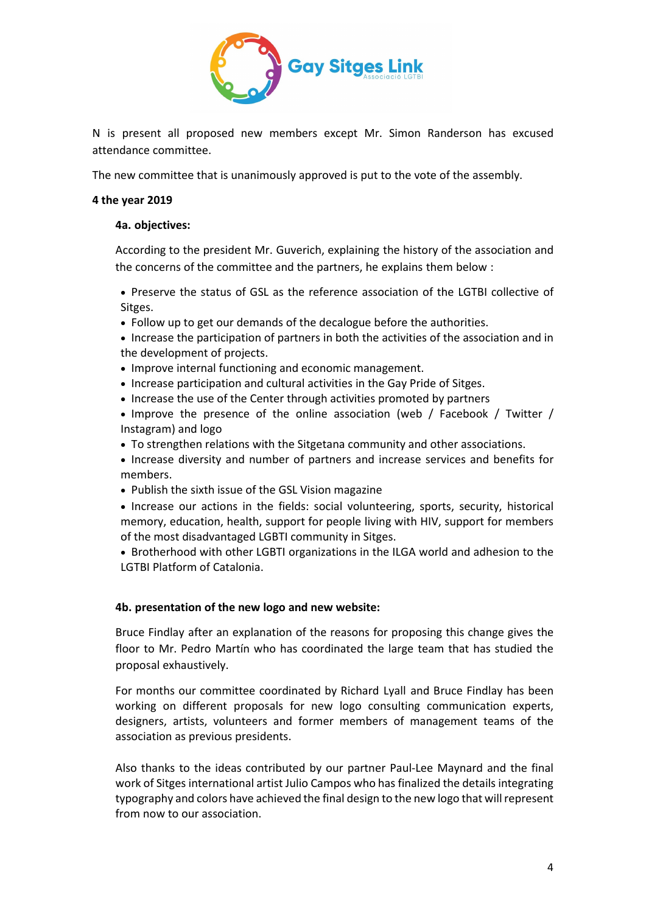

N is present all proposed new members except Mr. Simon Randerson has excused attendance committee.

The new committee that is unanimously approved is put to the vote of the assembly.

#### **4 the year 2019**

#### **4a. objectives:**

According to the president Mr. Guverich, explaining the history of the association and the concerns of the committee and the partners, he explains them below :

• Preserve the status of GSL as the reference association of the LGTBI collective of Sitges.

- Follow up to get our demands of the decalogue before the authorities.
- Increase the participation of partners in both the activities of the association and in the development of projects.
- Improve internal functioning and economic management.
- Increase participation and cultural activities in the Gay Pride of Sitges.
- Increase the use of the Center through activities promoted by partners
- Improve the presence of the online association (web / Facebook / Twitter / Instagram) and logo
- To strengthen relations with the Sitgetana community and other associations.
- Increase diversity and number of partners and increase services and benefits for members.
- Publish the sixth issue of the GSL Vision magazine
- Increase our actions in the fields: social volunteering, sports, security, historical memory, education, health, support for people living with HIV, support for members of the most disadvantaged LGBTI community in Sitges.

• Brotherhood with other LGBTI organizations in the ILGA world and adhesion to the LGTBI Platform of Catalonia.

#### **4b. presentation of the new logo and new website:**

Bruce Findlay after an explanation of the reasons for proposing this change gives the floor to Mr. Pedro Martín who has coordinated the large team that has studied the proposal exhaustively.

For months our committee coordinated by Richard Lyall and Bruce Findlay has been working on different proposals for new logo consulting communication experts, designers, artists, volunteers and former members of management teams of the association as previous presidents.

Also thanks to the ideas contributed by our partner Paul-Lee Maynard and the final work of Sitges international artist Julio Campos who has finalized the details integrating typography and colors have achieved the final design to the new logo that will represent from now to our association.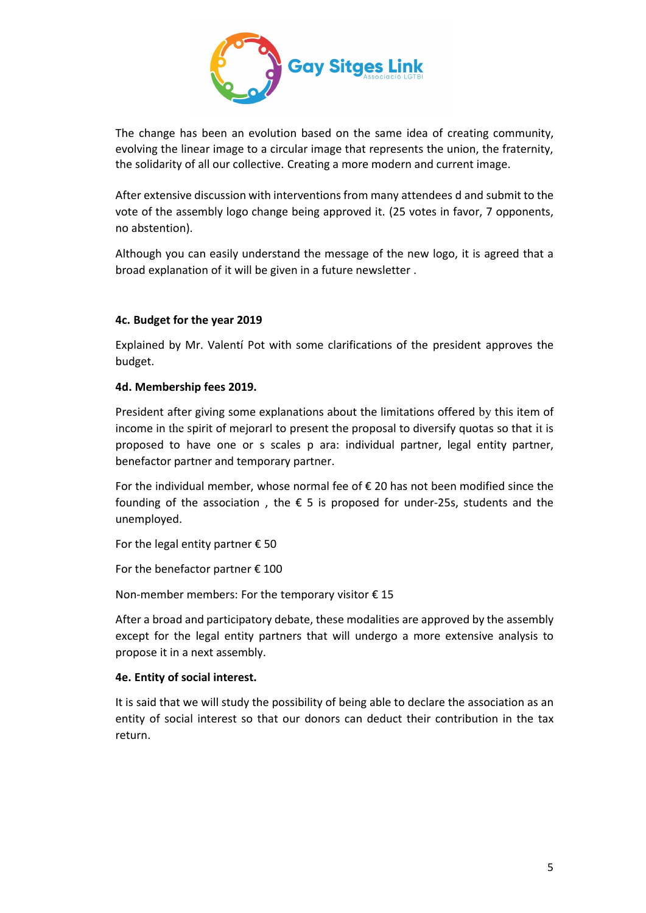

The change has been an evolution based on the same idea of creating community, evolving the linear image to a circular image that represents the union, the fraternity, the solidarity of all our collective. Creating a more modern and current image.

After extensive discussion with interventions from many attendees d and submit to the vote of the assembly logo change being approved it. (25 votes in favor, 7 opponents, no abstention).

Although you can easily understand the message of the new logo, it is agreed that a broad explanation of it will be given in a future newsletter .

## **4c. Budget for the year 2019**

Explained by Mr. Valentí Pot with some clarifications of the president approves the budget.

## **4d. Membership fees 2019.**

President after giving some explanations about the limitations offered by this item of income in the spirit of mejorarl to present the proposal to diversify quotas so that it is proposed to have one or s scales p ara: individual partner, legal entity partner, benefactor partner and temporary partner.

For the individual member, whose normal fee of € 20 has not been modified since the founding of the association, the  $\epsilon$  5 is proposed for under-25s, students and the unemployed.

For the legal entity partner  $\epsilon$  50

For the benefactor partner  $\epsilon$  100

Non-member members: For the temporary visitor  $\epsilon$  15

After a broad and participatory debate, these modalities are approved by the assembly except for the legal entity partners that will undergo a more extensive analysis to propose it in a next assembly.

## **4e. Entity of social interest.**

It is said that we will study the possibility of being able to declare the association as an entity of social interest so that our donors can deduct their contribution in the tax return.